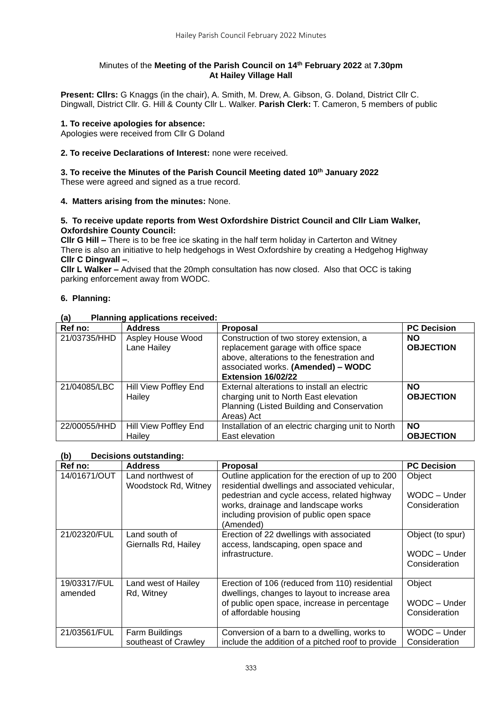## Minutes of the **Meeting of the Parish Council on 14th February 2022** at **7.30pm At Hailey Village Hall**

**Present: Cllrs:** G Knaggs (in the chair), A. Smith, M. Drew, A. Gibson, G. Doland, District Cllr C. Dingwall, District Cllr. G. Hill & County Cllr L. Walker. **Parish Clerk:** T. Cameron, 5 members of public

## **1. To receive apologies for absence:**

Apologies were received from Cllr G Doland

## **2. To receive Declarations of Interest:** none were received.

# **3. To receive the Minutes of the Parish Council Meeting dated 10th January 2022**

These were agreed and signed as a true record.

## **4. Matters arising from the minutes:** None.

## **5. To receive update reports from West Oxfordshire District Council and Cllr Liam Walker, Oxfordshire County Council:**

**Cllr G Hill –** There is to be free ice skating in the half term holiday in Carterton and Witney There is also an initiative to help hedgehogs in West Oxfordshire by creating a Hedgehog Highway **Cllr C Dingwall –**.

**Cllr L Walker –** Advised that the 20mph consultation has now closed. Also that OCC is taking parking enforcement away from WODC.

## **6. Planning:**

## **(a) Planning applications received:**

| Ref no:      | <b>Address</b>                   | <b>Proposal</b>                                                                                                                                                                           | <b>PC Decision</b>            |
|--------------|----------------------------------|-------------------------------------------------------------------------------------------------------------------------------------------------------------------------------------------|-------------------------------|
| 21/03735/HHD | Aspley House Wood<br>Lane Hailey | Construction of two storey extension, a<br>replacement garage with office space<br>above, alterations to the fenestration and<br>associated works. (Amended) - WODC<br>Extension 16/02/22 | <b>NO</b><br><b>OBJECTION</b> |
| 21/04085/LBC | Hill View Poffley End<br>Hailey  | External alterations to install an electric<br>charging unit to North East elevation<br>Planning (Listed Building and Conservation<br>Areas) Act                                          | <b>NO</b><br><b>OBJECTION</b> |
| 22/00055/HHD | Hill View Poffley End<br>Hailev  | Installation of an electric charging unit to North<br>East elevation                                                                                                                      | <b>NO</b><br><b>OBJECTION</b> |

## **(b) Decisions outstanding:**

| Ref no:                 | <b>Address</b>                            | <b>Proposal</b>                                                                                                                                                                                                                                      | <b>PC Decision</b>                                |
|-------------------------|-------------------------------------------|------------------------------------------------------------------------------------------------------------------------------------------------------------------------------------------------------------------------------------------------------|---------------------------------------------------|
| 14/01671/OUT            | Land northwest of<br>Woodstock Rd, Witney | Outline application for the erection of up to 200<br>residential dwellings and associated vehicular,<br>pedestrian and cycle access, related highway<br>works, drainage and landscape works<br>including provision of public open space<br>(Amended) | Object<br>WODC - Under<br>Consideration           |
| 21/02320/FUL            | Land south of<br>Giernalls Rd, Hailey     | Erection of 22 dwellings with associated<br>access, landscaping, open space and<br>infrastructure.                                                                                                                                                   | Object (to spur)<br>WODC - Under<br>Consideration |
| 19/03317/FUL<br>amended | Land west of Hailey<br>Rd, Witney         | Erection of 106 (reduced from 110) residential<br>dwellings, changes to layout to increase area<br>of public open space, increase in percentage<br>of affordable housing                                                                             | Object<br>WODC - Under<br>Consideration           |
| 21/03561/FUL            | Farm Buildings<br>southeast of Crawley    | Conversion of a barn to a dwelling, works to<br>include the addition of a pitched roof to provide                                                                                                                                                    | WODC - Under<br>Consideration                     |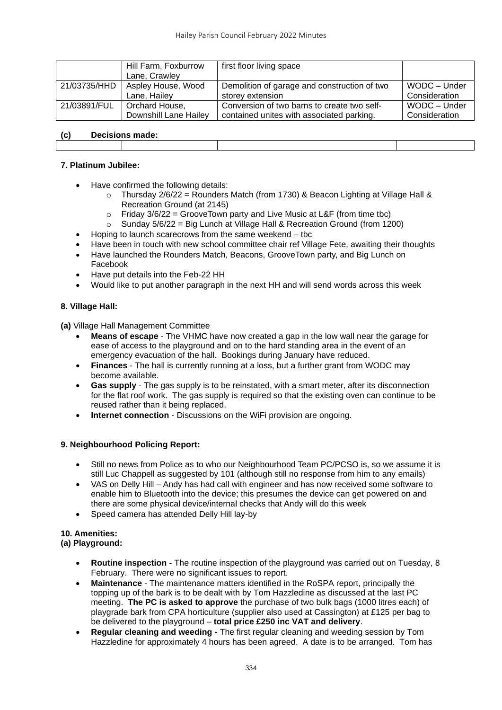|                               | Hill Farm, Foxburrow  | first floor living space                     |               |
|-------------------------------|-----------------------|----------------------------------------------|---------------|
|                               | Lane, Crawley         |                                              |               |
| 21/03735/HHD                  | Aspley House, Wood    | Demolition of garage and construction of two | WODC - Under  |
|                               | Lane, Hailey          | storey extension                             | Consideration |
| 21/03891/FUL                  | Orchard House,        | Conversion of two barns to create two self-  | WODC - Under  |
|                               | Downshill Lane Hailey | contained unites with associated parking.    | Consideration |
|                               |                       |                                              |               |
| <b>Decisions made:</b><br>(c) |                       |                                              |               |

## **7. Platinum Jubilee:**

- Have confirmed the following details:
	- $\circ$  Thursday 2/6/22 = Rounders Match (from 1730) & Beacon Lighting at Village Hall & Recreation Ground (at 2145)
	- $\circ$  Friday 3/6/22 = GrooveTown party and Live Music at L&F (from time tbc)
	- $\circ$  Sunday 5/6/22 = Big Lunch at Village Hall & Recreation Ground (from 1200)
- Hoping to launch scarecrows from the same weekend tbc
- Have been in touch with new school committee chair ref Village Fete, awaiting their thoughts
- Have launched the Rounders Match, Beacons, GrooveTown party, and Big Lunch on Facebook
- Have put details into the Feb-22 HH
- Would like to put another paragraph in the next HH and will send words across this week

#### **8. Village Hall:**

**(a)** Village Hall Management Committee

- **Means of escape**  The VHMC have now created a gap in the low wall near the garage for ease of access to the playground and on to the hard standing area in the event of an emergency evacuation of the hall. Bookings during January have reduced.
- **Finances**  The hall is currently running at a loss, but a further grant from WODC may become available.
- **Gas supply**  The gas supply is to be reinstated, with a smart meter, after its disconnection for the flat roof work. The gas supply is required so that the existing oven can continue to be reused rather than it being replaced.
- **Internet connection** Discussions on the WiFi provision are ongoing.

#### **9. Neighbourhood Policing Report:**

- Still no news from Police as to who our Neighbourhood Team PC/PCSO is, so we assume it is still Luc Chappell as suggested by 101 (although still no response from him to any emails)
- VAS on Delly Hill Andy has had call with engineer and has now received some software to enable him to Bluetooth into the device; this presumes the device can get powered on and there are some physical device/internal checks that Andy will do this week
- Speed camera has attended Delly Hill lay-by

## **10. Amenities:**

## **(a) Playground:**

- **Routine inspection**  The routine inspection of the playground was carried out on Tuesday, 8 February. There were no significant issues to report.
- **Maintenance**  The maintenance matters identified in the RoSPA report, principally the topping up of the bark is to be dealt with by Tom Hazzledine as discussed at the last PC meeting. **The PC is asked to approve** the purchase of two bulk bags (1000 litres each) of playgrade bark from CPA horticulture (supplier also used at Cassington) at £125 per bag to be delivered to the playground – **total price £250 inc VAT and delivery**.
- **Regular cleaning and weeding -** The first regular cleaning and weeding session by Tom Hazzledine for approximately 4 hours has been agreed. A date is to be arranged. Tom has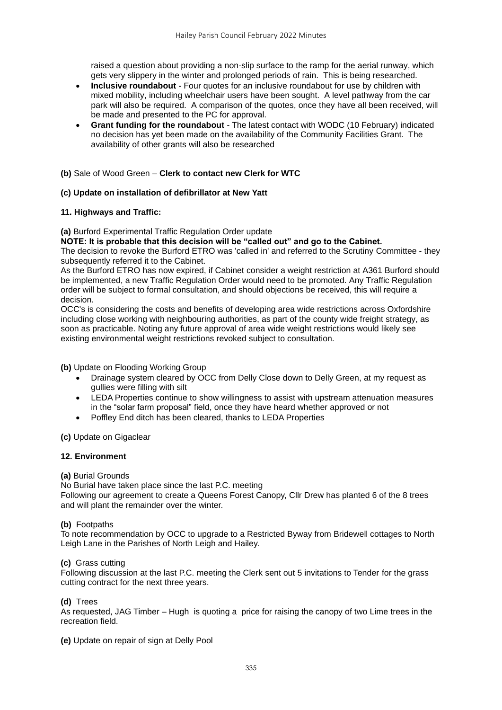raised a question about providing a non-slip surface to the ramp for the aerial runway, which gets very slippery in the winter and prolonged periods of rain. This is being researched.

- **Inclusive roundabout**  Four quotes for an inclusive roundabout for use by children with mixed mobility, including wheelchair users have been sought. A level pathway from the car park will also be required. A comparison of the quotes, once they have all been received, will be made and presented to the PC for approval.
- **Grant funding for the roundabout**  The latest contact with WODC (10 February) indicated no decision has yet been made on the availability of the Community Facilities Grant. The availability of other grants will also be researched

#### **(b)** Sale of Wood Green – **Clerk to contact new Clerk for WTC**

#### **(c) Update on installation of defibrillator at New Yatt**

#### **11. Highways and Traffic:**

**(a)** Burford Experimental Traffic Regulation Order update

**NOTE: It is probable that this decision will be "called out" and go to the Cabinet.**

The decision to revoke the Burford ETRO was 'called in' and referred to the Scrutiny Committee - they subsequently referred it to the Cabinet.

As the Burford ETRO has now expired, if Cabinet consider a weight restriction at A361 Burford should be implemented, a new Traffic Regulation Order would need to be promoted. Any Traffic Regulation order will be subject to formal consultation, and should objections be received, this will require a decision.

OCC's is considering the costs and benefits of developing area wide restrictions across Oxfordshire including close working with neighbouring authorities, as part of the county wide freight strategy, as soon as practicable. Noting any future approval of area wide weight restrictions would likely see existing environmental weight restrictions revoked subject to consultation.

**(b)** Update on Flooding Working Group

- Drainage system cleared by OCC from Delly Close down to Delly Green, at my request as gullies were filling with silt
- LEDA Properties continue to show willingness to assist with upstream attenuation measures in the "solar farm proposal" field, once they have heard whether approved or not
- Poffley End ditch has been cleared, thanks to LEDA Properties

**(c)** Update on Gigaclear

#### **12. Environment**

#### **(a)** Burial Grounds

No Burial have taken place since the last P.C. meeting Following our agreement to create a Queens Forest Canopy, Cllr Drew has planted 6 of the 8 trees and will plant the remainder over the winter.

#### **(b)** Footpaths

To note recommendation by OCC to upgrade to a Restricted Byway from Bridewell cottages to North Leigh Lane in the Parishes of North Leigh and Hailey.

#### **(c)** Grass cutting

Following discussion at the last P.C. meeting the Clerk sent out 5 invitations to Tender for the grass cutting contract for the next three years.

#### **(d)** Trees

As requested, JAG Timber – Hugh is quoting a price for raising the canopy of two Lime trees in the recreation field.

**(e)** Update on repair of sign at Delly Pool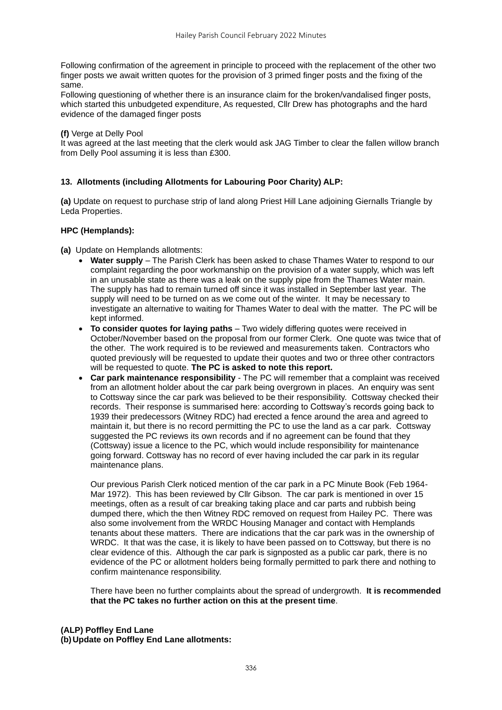Following confirmation of the agreement in principle to proceed with the replacement of the other two finger posts we await written quotes for the provision of 3 primed finger posts and the fixing of the same.

Following questioning of whether there is an insurance claim for the broken/vandalised finger posts, which started this unbudgeted expenditure, As requested, Cllr Drew has photographs and the hard evidence of the damaged finger posts

#### **(f)** Verge at Delly Pool

It was agreed at the last meeting that the clerk would ask JAG Timber to clear the fallen willow branch from Delly Pool assuming it is less than £300.

## **13. Allotments (including Allotments for Labouring Poor Charity) ALP:**

**(a)** Update on request to purchase strip of land along Priest Hill Lane adjoining Giernalls Triangle by Leda Properties.

#### **HPC (Hemplands):**

**(a)** Update on Hemplands allotments:

- **Water supply** The Parish Clerk has been asked to chase Thames Water to respond to our complaint regarding the poor workmanship on the provision of a water supply, which was left in an unusable state as there was a leak on the supply pipe from the Thames Water main. The supply has had to remain turned off since it was installed in September last year. The supply will need to be turned on as we come out of the winter. It may be necessary to investigate an alternative to waiting for Thames Water to deal with the matter. The PC will be kept informed.
- **To consider quotes for laying paths** Two widely differing quotes were received in October/November based on the proposal from our former Clerk. One quote was twice that of the other. The work required is to be reviewed and measurements taken. Contractors who quoted previously will be requested to update their quotes and two or three other contractors will be requested to quote. **The PC is asked to note this report.**
- **Car park maintenance responsibility** The PC will remember that a complaint was received from an allotment holder about the car park being overgrown in places. An enquiry was sent to Cottsway since the car park was believed to be their responsibility. Cottsway checked their records. Their response is summarised here: according to Cottsway's records going back to 1939 their predecessors (Witney RDC) had erected a fence around the area and agreed to maintain it, but there is no record permitting the PC to use the land as a car park. Cottsway suggested the PC reviews its own records and if no agreement can be found that they (Cottsway) issue a licence to the PC, which would include responsibility for maintenance going forward. Cottsway has no record of ever having included the car park in its regular maintenance plans.

Our previous Parish Clerk noticed mention of the car park in a PC Minute Book (Feb 1964- Mar 1972). This has been reviewed by Cllr Gibson. The car park is mentioned in over 15 meetings, often as a result of car breaking taking place and car parts and rubbish being dumped there, which the then Witney RDC removed on request from Hailey PC. There was also some involvement from the WRDC Housing Manager and contact with Hemplands tenants about these matters. There are indications that the car park was in the ownership of WRDC. It that was the case, it is likely to have been passed on to Cottsway, but there is no clear evidence of this. Although the car park is signposted as a public car park, there is no evidence of the PC or allotment holders being formally permitted to park there and nothing to confirm maintenance responsibility.

There have been no further complaints about the spread of undergrowth. **It is recommended that the PC takes no further action on this at the present time**.

## **(ALP) Poffley End Lane (b)Update on Poffley End Lane allotments:**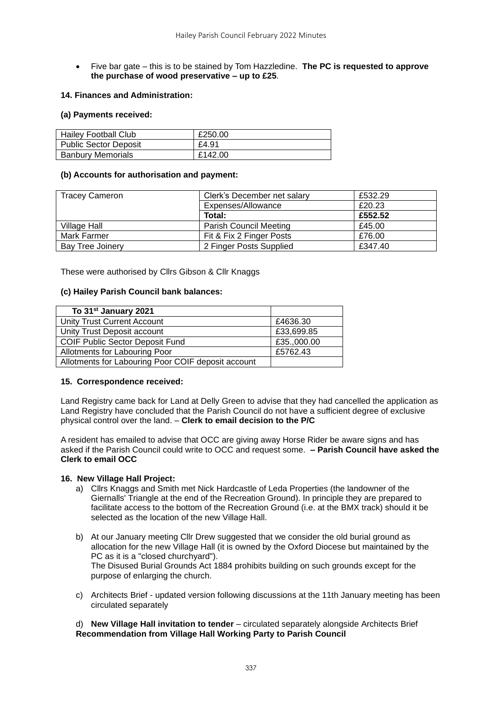• Five bar gate – this is to be stained by Tom Hazzledine. **The PC is requested to approve the purchase of wood preservative – up to £25**.

#### **14. Finances and Administration:**

#### **(a) Payments received:**

| <b>Hailey Football Club</b> | £250.00 |
|-----------------------------|---------|
|                             |         |
| Public Sector Deposit       | £4.91   |
| <b>Banbury Memorials</b>    | £142.00 |

#### **(b) Accounts for authorisation and payment:**

| <b>Tracey Cameron</b> | Clerk's December net salary   | £532.29 |
|-----------------------|-------------------------------|---------|
|                       | Expenses/Allowance            | £20.23  |
|                       | Total:                        | £552.52 |
| Village Hall          | <b>Parish Council Meeting</b> | £45.00  |
| Mark Farmer           | Fit & Fix 2 Finger Posts      | £76.00  |
| Bay Tree Joinery      | 2 Finger Posts Supplied       | £347.40 |

These were authorised by Cllrs Gibson & Cllr Knaggs

#### **(c) Hailey Parish Council bank balances:**

| To 31 <sup>st</sup> January 2021                   |             |
|----------------------------------------------------|-------------|
| <b>Unity Trust Current Account</b>                 | £4636.30    |
| Unity Trust Deposit account                        | £33,699.85  |
| <b>COIF Public Sector Deposit Fund</b>             | £35.,000.00 |
| Allotments for Labouring Poor                      | £5762.43    |
| Allotments for Labouring Poor COIF deposit account |             |

#### **15. Correspondence received:**

Land Registry came back for Land at Delly Green to advise that they had cancelled the application as Land Registry have concluded that the Parish Council do not have a sufficient degree of exclusive physical control over the land. – **Clerk to email decision to the P/C**

A resident has emailed to advise that OCC are giving away Horse Rider be aware signs and has asked if the Parish Council could write to OCC and request some. **– Parish Council have asked the Clerk to email OCC**

#### **16. New Village Hall Project:**

- a) Cllrs Knaggs and Smith met Nick Hardcastle of Leda Properties (the landowner of the Giernalls' Triangle at the end of the Recreation Ground). In principle they are prepared to facilitate access to the bottom of the Recreation Ground (i.e. at the BMX track) should it be selected as the location of the new Village Hall.
- b) At our January meeting Cllr Drew suggested that we consider the old burial ground as allocation for the new Village Hall (it is owned by the Oxford Diocese but maintained by the PC as it is a "closed churchyard"). The Disused Burial Grounds Act 1884 prohibits building on such grounds except for the purpose of enlarging the church.
- c) Architects Brief updated version following discussions at the 11th January meeting has been circulated separately

#### d) **New Village Hall invitation to tender** – circulated separately alongside Architects Brief **Recommendation from Village Hall Working Party to Parish Council**